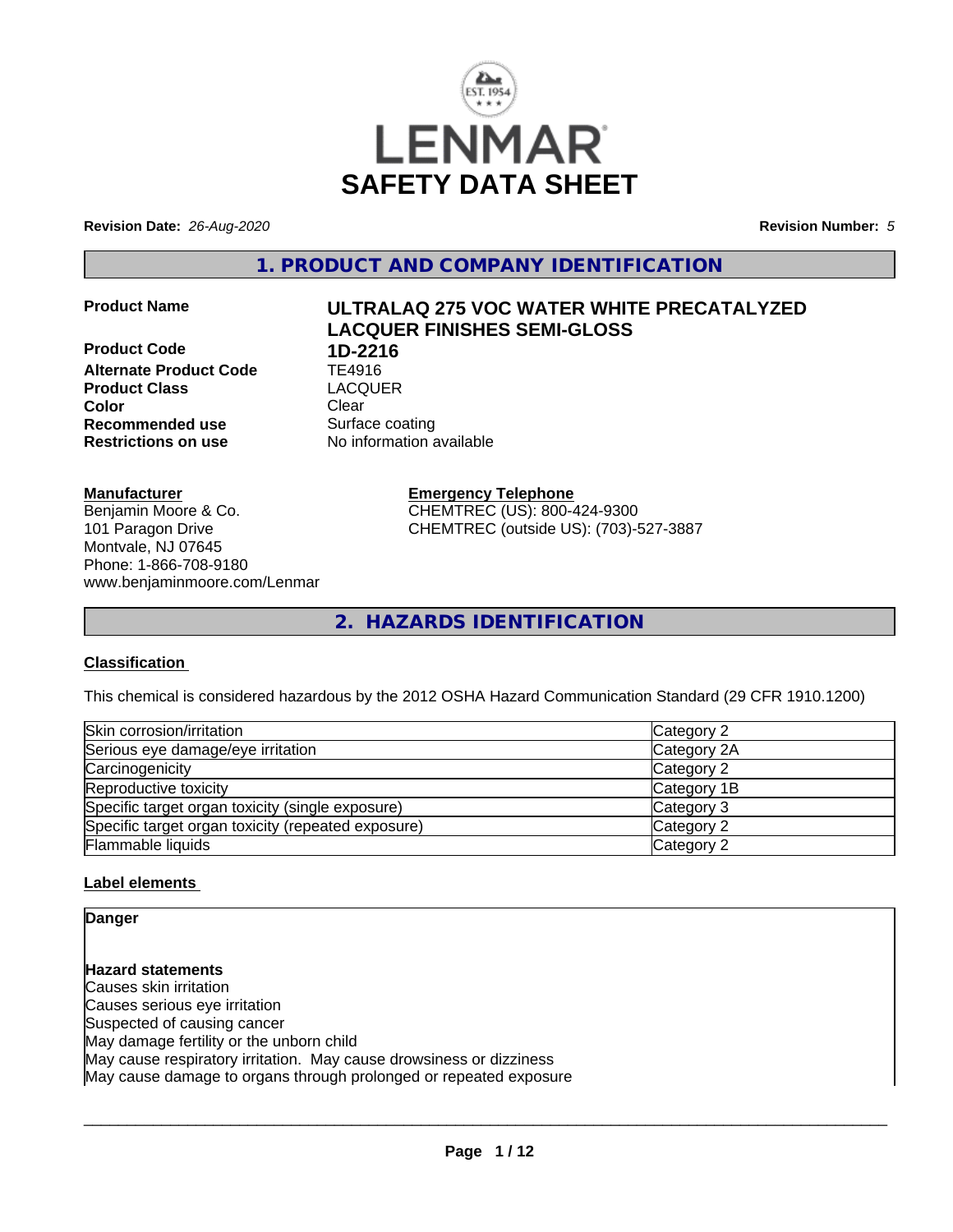

**Revision Date:** *26-Aug-2020* **Revision Number:** *5*

**1. PRODUCT AND COMPANY IDENTIFICATION**

**Product Code 1D-2216**<br>**Alternate Product Code** TE4916 **Alternate Product Code TE4916**<br> **Product Class** LACQUER **Product Class Color** Clear Clear **Recommended use** Surface coating **Restrictions on use** No information available

# **Product Name ULTRALAQ 275 VOC WATER WHITE PRECATALYZED LACQUER FINISHES SEMI-GLOSS**

**Manufacturer**

Benjamin Moore & Co. 101 Paragon Drive Montvale, NJ 07645 Phone: 1-866-708-9180 www.benjaminmoore.com/Lenmar **Emergency Telephone** CHEMTREC (US): 800-424-9300 CHEMTREC (outside US): (703)-527-3887

**2. HAZARDS IDENTIFICATION**

#### **Classification**

This chemical is considered hazardous by the 2012 OSHA Hazard Communication Standard (29 CFR 1910.1200)

| Skin corrosion/irritation                          | Category 2  |
|----------------------------------------------------|-------------|
| Serious eye damage/eye irritation                  | Category 2A |
| Carcinogenicity                                    | Category 2  |
| Reproductive toxicity                              | Category 1B |
| Specific target organ toxicity (single exposure)   | Category 3  |
| Specific target organ toxicity (repeated exposure) | Category 2  |
| Flammable liquids                                  | Category 2  |

#### **Label elements**

**Danger**

**Hazard statements** Causes skin irritation Causes serious eye irritation Suspected of causing cancer May damage fertility or the unborn child May cause respiratory irritation. May cause drowsiness or dizziness May cause damage to organs through prolonged or repeated exposure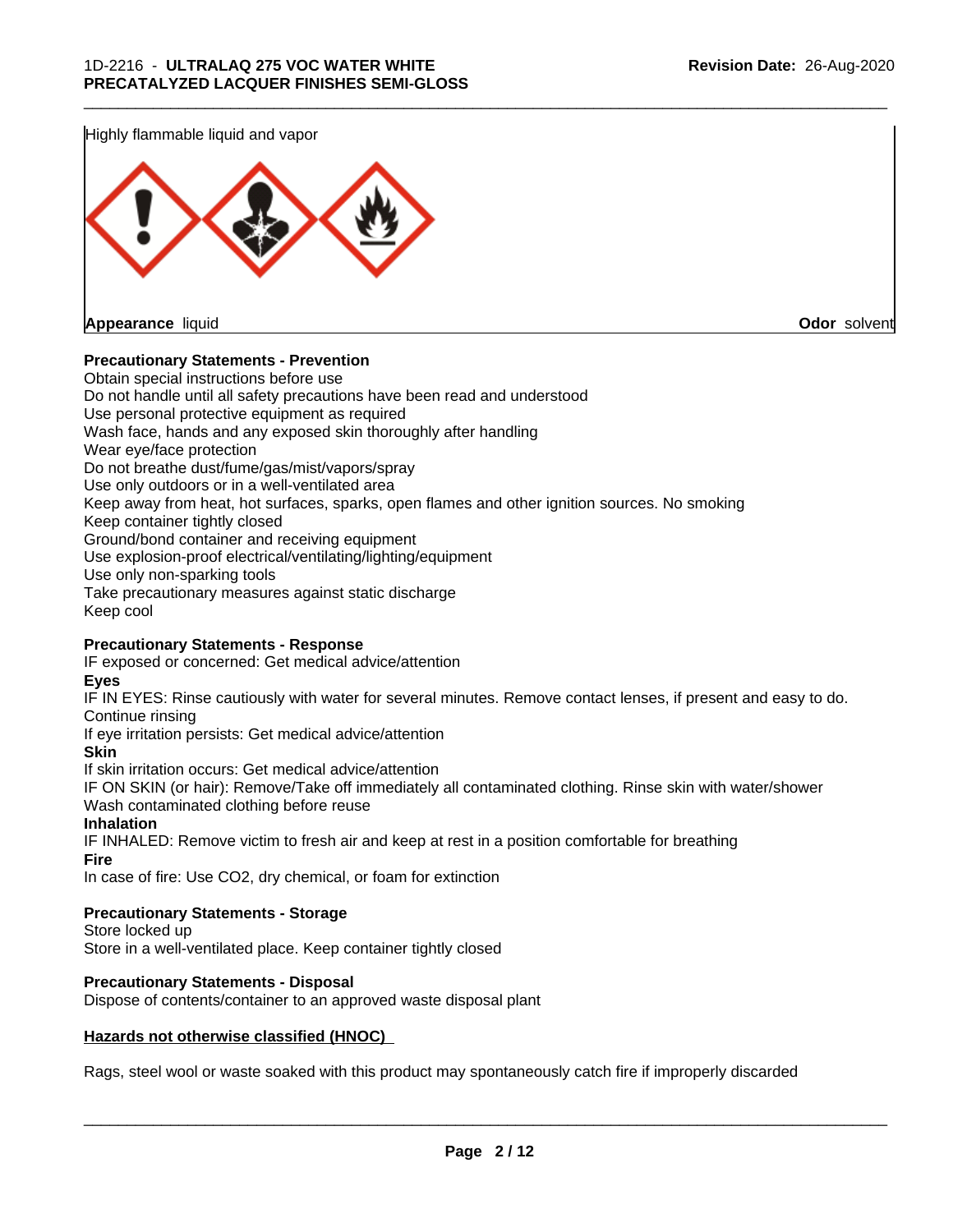Highly flammable liquid and vapor



#### **Precautionary Statements - Prevention**

Obtain special instructions before use Do not handle until all safety precautions have been read and understood Use personal protective equipment as required Wash face, hands and any exposed skin thoroughly after handling Wear eye/face protection Do not breathe dust/fume/gas/mist/vapors/spray Use only outdoors or in a well-ventilated area Keep away from heat, hot surfaces, sparks, open flames and other ignition sources. No smoking Keep container tightly closed Ground/bond container and receiving equipment Use explosion-proof electrical/ventilating/lighting/equipment Use only non-sparking tools Take precautionary measures against static discharge Keep cool

\_\_\_\_\_\_\_\_\_\_\_\_\_\_\_\_\_\_\_\_\_\_\_\_\_\_\_\_\_\_\_\_\_\_\_\_\_\_\_\_\_\_\_\_\_\_\_\_\_\_\_\_\_\_\_\_\_\_\_\_\_\_\_\_\_\_\_\_\_\_\_\_\_\_\_\_\_\_\_\_\_\_\_\_\_\_\_\_\_\_\_\_\_

#### **Precautionary Statements - Response**

IF exposed or concerned: Get medical advice/attention

**Eyes**

IF IN EYES: Rinse cautiously with water for several minutes. Remove contact lenses, if present and easy to do. Continue rinsing

If eye irritation persists: Get medical advice/attention

**Skin**

If skin irritation occurs: Get medical advice/attention

IF ON SKIN (or hair): Remove/Take off immediately all contaminated clothing. Rinse skin with water/shower Wash contaminated clothing before reuse

#### **Inhalation**

IF INHALED: Remove victim to fresh air and keep at rest in a position comfortable for breathing **Fire**

In case of fire: Use CO2, dry chemical, or foam for extinction

#### **Precautionary Statements - Storage**

Store locked up Store in a well-ventilated place. Keep container tightly closed

#### **Precautionary Statements - Disposal**

Dispose of contents/container to an approved waste disposal plant

#### **Hazards not otherwise classified (HNOC)**

Rags, steel wool or waste soaked with this product may spontaneously catch fire if improperly discarded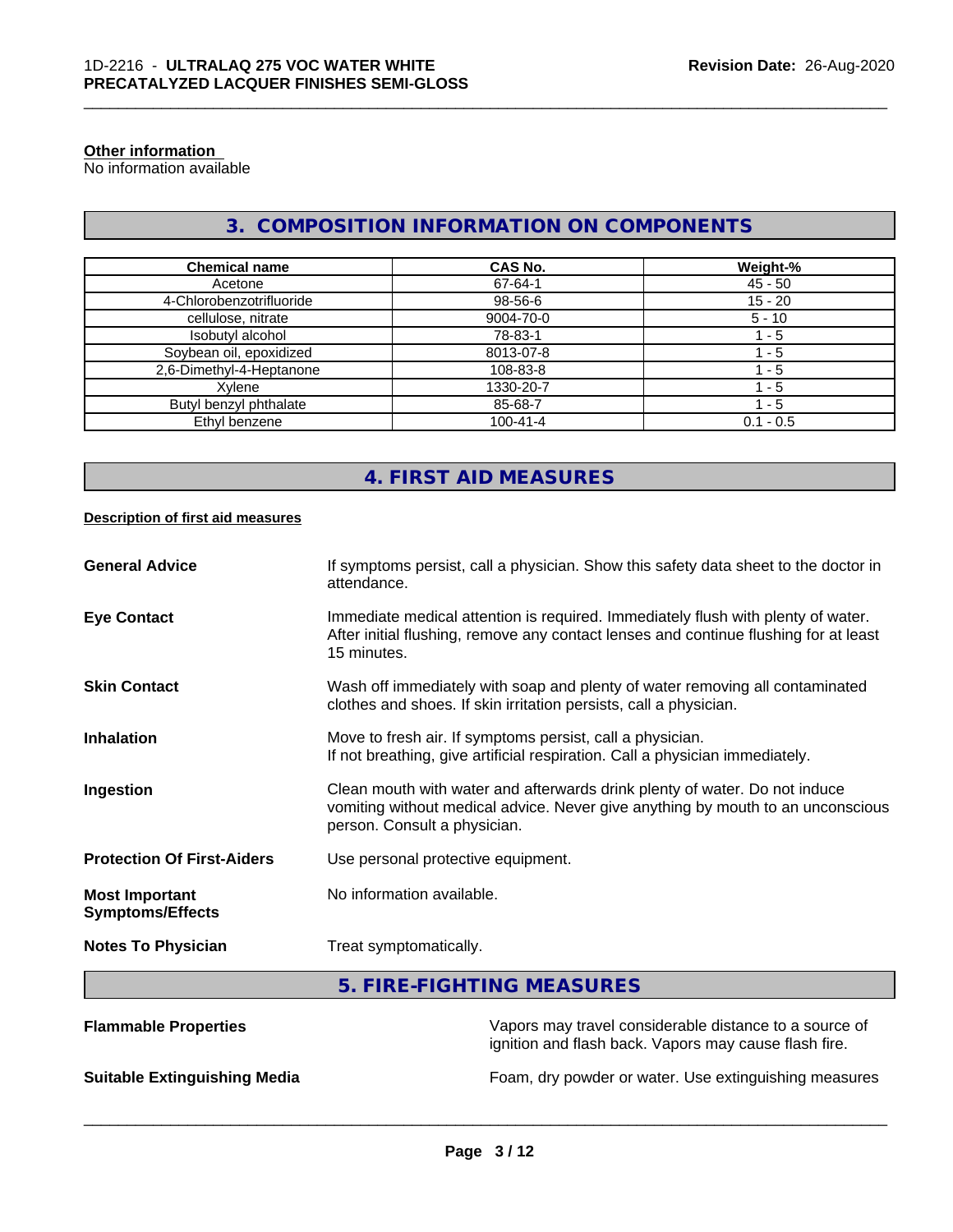#### **Other information**

No information available

### **3. COMPOSITION INFORMATION ON COMPONENTS**

\_\_\_\_\_\_\_\_\_\_\_\_\_\_\_\_\_\_\_\_\_\_\_\_\_\_\_\_\_\_\_\_\_\_\_\_\_\_\_\_\_\_\_\_\_\_\_\_\_\_\_\_\_\_\_\_\_\_\_\_\_\_\_\_\_\_\_\_\_\_\_\_\_\_\_\_\_\_\_\_\_\_\_\_\_\_\_\_\_\_\_\_\_

| <b>Chemical name</b>     | CAS No.        | Weight-%    |
|--------------------------|----------------|-------------|
| Acetone                  | 67-64-1        | $45 - 50$   |
| 4-Chlorobenzotrifluoride | 98-56-6        | $15 - 20$   |
| cellulose, nitrate       | 9004-70-0      | $5 - 10$    |
| Isobutyl alcohol         | 78-83-1        | - 5         |
| Soybean oil, epoxidized  | 8013-07-8      | - 5         |
| 2,6-Dimethyl-4-Heptanone | 108-83-8       | - 5         |
| Xvlene                   | 1330-20-7      | - 5         |
| Butyl benzyl phthalate   | 85-68-7        | 1 - 5       |
| Ethyl benzene            | $100 - 41 - 4$ | $0.1 - 0.5$ |

### **4. FIRST AID MEASURES**

#### **Description of first aid measures**

| <b>General Advice</b>                            | If symptoms persist, call a physician. Show this safety data sheet to the doctor in<br>attendance.                                                                                            |
|--------------------------------------------------|-----------------------------------------------------------------------------------------------------------------------------------------------------------------------------------------------|
| <b>Eye Contact</b>                               | Immediate medical attention is required. Immediately flush with plenty of water.<br>After initial flushing, remove any contact lenses and continue flushing for at least<br>15 minutes.       |
| <b>Skin Contact</b>                              | Wash off immediately with soap and plenty of water removing all contaminated<br>clothes and shoes. If skin irritation persists, call a physician.                                             |
| <b>Inhalation</b>                                | Move to fresh air. If symptoms persist, call a physician.<br>If not breathing, give artificial respiration. Call a physician immediately.                                                     |
| Ingestion                                        | Clean mouth with water and afterwards drink plenty of water. Do not induce<br>vomiting without medical advice. Never give anything by mouth to an unconscious<br>person. Consult a physician. |
| <b>Protection Of First-Aiders</b>                | Use personal protective equipment.                                                                                                                                                            |
| <b>Most Important</b><br><b>Symptoms/Effects</b> | No information available.                                                                                                                                                                     |
| <b>Notes To Physician</b>                        | Treat symptomatically.                                                                                                                                                                        |

### **5. FIRE-FIGHTING MEASURES**

| <b>Flammable Properties</b>         | Vapors may travel considerable distance to a source of<br>ignition and flash back. Vapors may cause flash fire. |
|-------------------------------------|-----------------------------------------------------------------------------------------------------------------|
| <b>Suitable Extinguishing Media</b> | Foam, dry powder or water. Use extinguishing measures                                                           |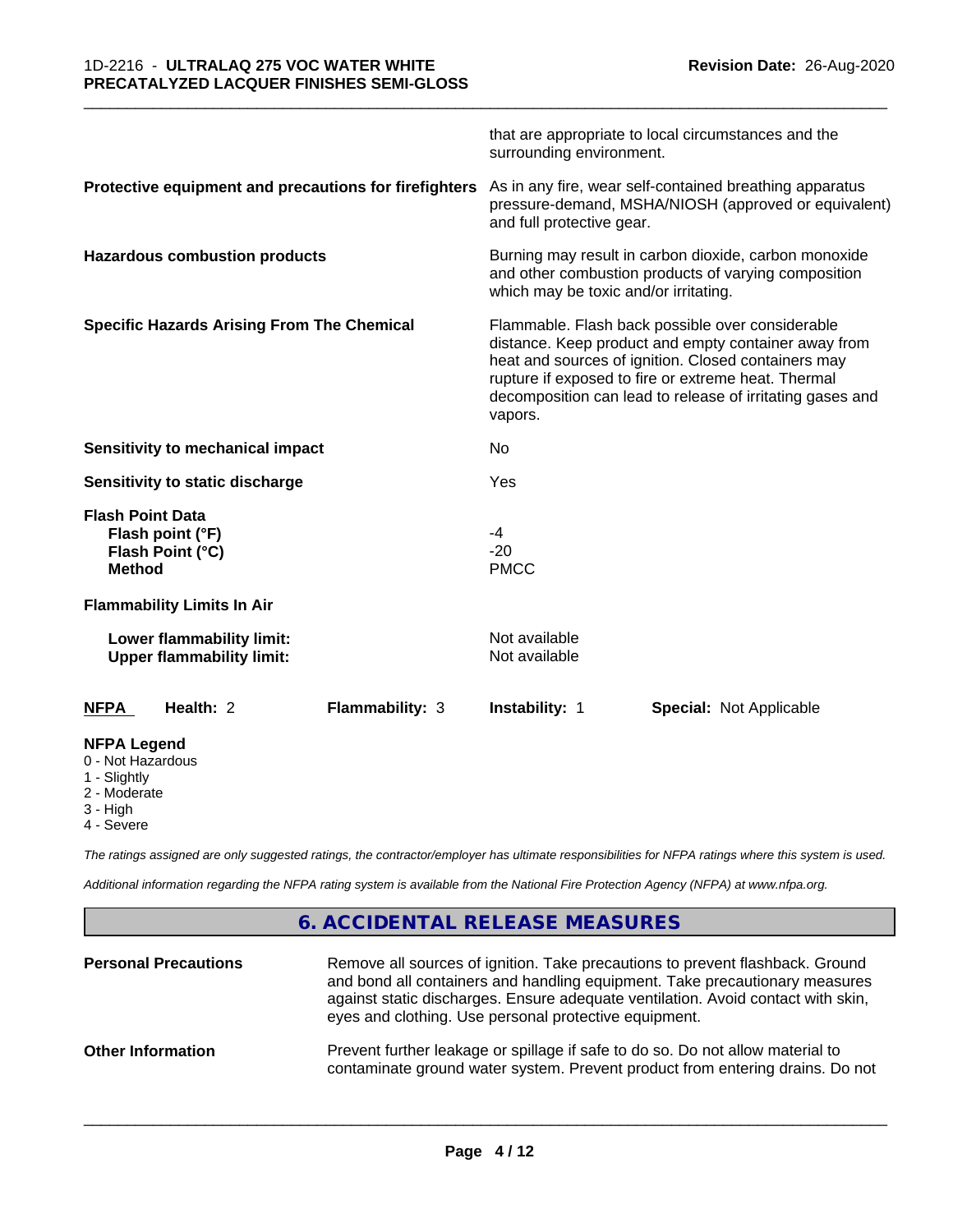|                                                                                                   |                        | surrounding environment.                                                                                                                                                                                                                                                                       | that are appropriate to local circumstances and the |  |
|---------------------------------------------------------------------------------------------------|------------------------|------------------------------------------------------------------------------------------------------------------------------------------------------------------------------------------------------------------------------------------------------------------------------------------------|-----------------------------------------------------|--|
| Protective equipment and precautions for firefighters                                             |                        | As in any fire, wear self-contained breathing apparatus<br>pressure-demand, MSHA/NIOSH (approved or equivalent)<br>and full protective gear.                                                                                                                                                   |                                                     |  |
| <b>Hazardous combustion products</b>                                                              |                        | Burning may result in carbon dioxide, carbon monoxide<br>and other combustion products of varying composition<br>which may be toxic and/or irritating.                                                                                                                                         |                                                     |  |
| <b>Specific Hazards Arising From The Chemical</b>                                                 |                        | Flammable. Flash back possible over considerable<br>distance. Keep product and empty container away from<br>heat and sources of ignition. Closed containers may<br>rupture if exposed to fire or extreme heat. Thermal<br>decomposition can lead to release of irritating gases and<br>vapors. |                                                     |  |
| <b>Sensitivity to mechanical impact</b>                                                           |                        | No                                                                                                                                                                                                                                                                                             |                                                     |  |
| Sensitivity to static discharge                                                                   |                        | Yes                                                                                                                                                                                                                                                                                            |                                                     |  |
| <b>Flash Point Data</b><br>Flash point (°F)<br>Flash Point (°C)<br><b>Method</b>                  |                        | -4<br>$-20$<br><b>PMCC</b>                                                                                                                                                                                                                                                                     |                                                     |  |
| <b>Flammability Limits In Air</b>                                                                 |                        |                                                                                                                                                                                                                                                                                                |                                                     |  |
| Lower flammability limit:<br><b>Upper flammability limit:</b>                                     |                        | Not available<br>Not available                                                                                                                                                                                                                                                                 |                                                     |  |
| Health: 2<br><b>NFPA</b>                                                                          | <b>Flammability: 3</b> | Instability: 1                                                                                                                                                                                                                                                                                 | <b>Special: Not Applicable</b>                      |  |
| <b>NFPA Legend</b><br>0 - Not Hazardous<br>1 - Slightly<br>2 - Moderate<br>3 - High<br>4 - Severe |                        |                                                                                                                                                                                                                                                                                                |                                                     |  |

\_\_\_\_\_\_\_\_\_\_\_\_\_\_\_\_\_\_\_\_\_\_\_\_\_\_\_\_\_\_\_\_\_\_\_\_\_\_\_\_\_\_\_\_\_\_\_\_\_\_\_\_\_\_\_\_\_\_\_\_\_\_\_\_\_\_\_\_\_\_\_\_\_\_\_\_\_\_\_\_\_\_\_\_\_\_\_\_\_\_\_\_\_

*The ratings assigned are only suggested ratings, the contractor/employer has ultimate responsibilities for NFPA ratings where this system is used.*

*Additional information regarding the NFPA rating system is available from the National Fire Protection Agency (NFPA) at www.nfpa.org.*

### **6. ACCIDENTAL RELEASE MEASURES**

| <b>Personal Precautions</b> | Remove all sources of ignition. Take precautions to prevent flashback. Ground<br>and bond all containers and handling equipment. Take precautionary measures<br>against static discharges. Ensure adequate ventilation. Avoid contact with skin,<br>eyes and clothing. Use personal protective equipment. |
|-----------------------------|-----------------------------------------------------------------------------------------------------------------------------------------------------------------------------------------------------------------------------------------------------------------------------------------------------------|
| <b>Other Information</b>    | Prevent further leakage or spillage if safe to do so. Do not allow material to<br>contaminate ground water system. Prevent product from entering drains. Do not                                                                                                                                           |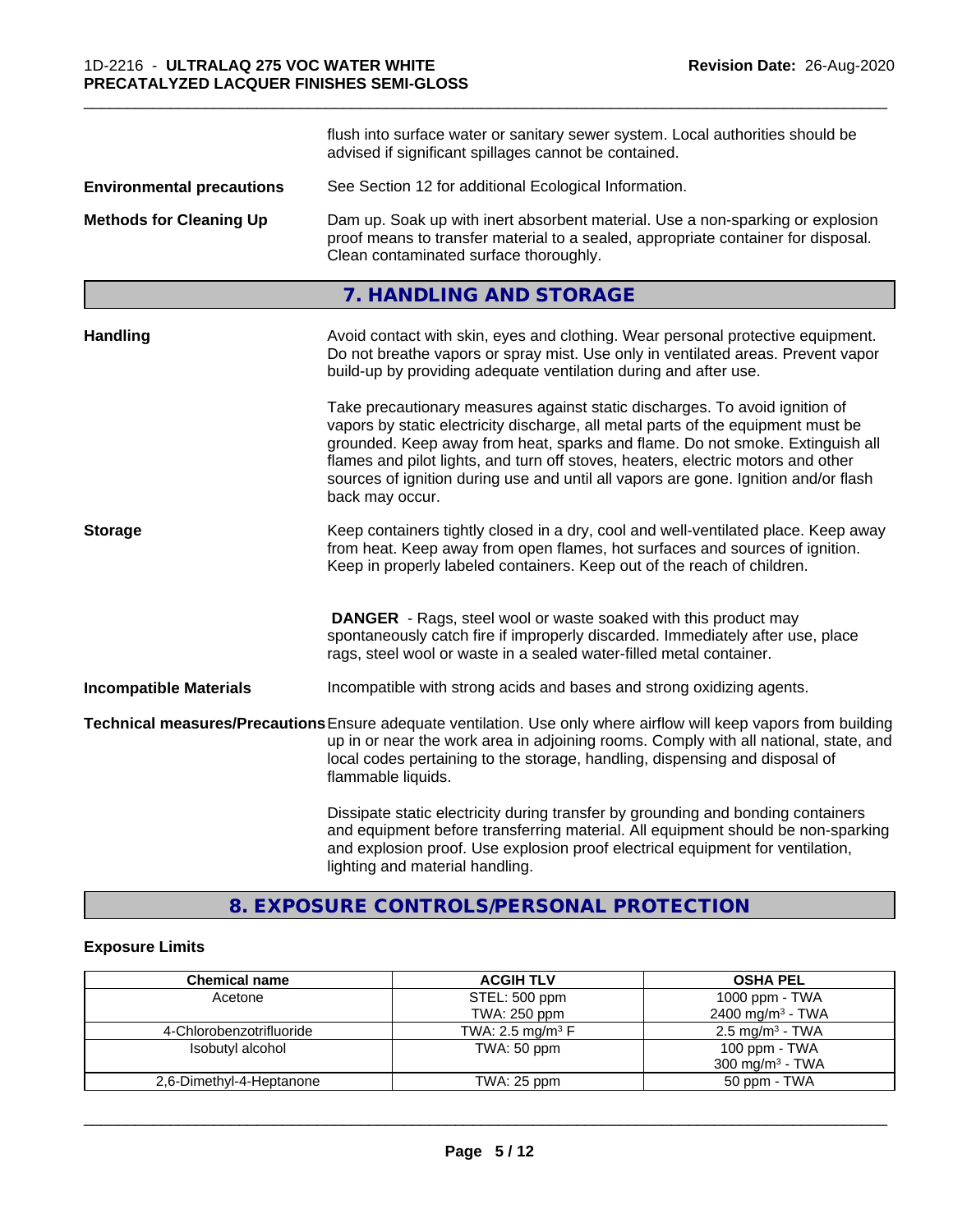|                                  | flush into surface water or sanitary sewer system. Local authorities should be<br>advised if significant spillages cannot be contained.                                                                                                                                                                                                                                                                                                        |
|----------------------------------|------------------------------------------------------------------------------------------------------------------------------------------------------------------------------------------------------------------------------------------------------------------------------------------------------------------------------------------------------------------------------------------------------------------------------------------------|
| <b>Environmental precautions</b> | See Section 12 for additional Ecological Information.                                                                                                                                                                                                                                                                                                                                                                                          |
| <b>Methods for Cleaning Up</b>   | Dam up. Soak up with inert absorbent material. Use a non-sparking or explosion<br>proof means to transfer material to a sealed, appropriate container for disposal.<br>Clean contaminated surface thoroughly.                                                                                                                                                                                                                                  |
|                                  | 7. HANDLING AND STORAGE                                                                                                                                                                                                                                                                                                                                                                                                                        |
| <b>Handling</b>                  | Avoid contact with skin, eyes and clothing. Wear personal protective equipment.<br>Do not breathe vapors or spray mist. Use only in ventilated areas. Prevent vapor<br>build-up by providing adequate ventilation during and after use.                                                                                                                                                                                                        |
|                                  | Take precautionary measures against static discharges. To avoid ignition of<br>vapors by static electricity discharge, all metal parts of the equipment must be<br>grounded. Keep away from heat, sparks and flame. Do not smoke. Extinguish all<br>flames and pilot lights, and turn off stoves, heaters, electric motors and other<br>sources of ignition during use and until all vapors are gone. Ignition and/or flash<br>back may occur. |
| <b>Storage</b>                   | Keep containers tightly closed in a dry, cool and well-ventilated place. Keep away<br>from heat. Keep away from open flames, hot surfaces and sources of ignition.<br>Keep in properly labeled containers. Keep out of the reach of children.                                                                                                                                                                                                  |
|                                  | <b>DANGER</b> - Rags, steel wool or waste soaked with this product may<br>spontaneously catch fire if improperly discarded. Immediately after use, place<br>rags, steel wool or waste in a sealed water-filled metal container.                                                                                                                                                                                                                |
| <b>Incompatible Materials</b>    | Incompatible with strong acids and bases and strong oxidizing agents.                                                                                                                                                                                                                                                                                                                                                                          |
|                                  | Technical measures/Precautions Ensure adequate ventilation. Use only where airflow will keep vapors from building<br>up in or near the work area in adjoining rooms. Comply with all national, state, and<br>local codes pertaining to the storage, handling, dispensing and disposal of<br>flammable liquids.                                                                                                                                 |
|                                  | Dissipate static electricity during transfer by grounding and bonding containers<br>and equipment before transferring material. All equipment should be non-sparking<br>and explosion proof. Use explosion proof electrical equipment for ventilation,<br>lighting and material handling.                                                                                                                                                      |

### **8. EXPOSURE CONTROLS/PERSONAL PROTECTION**

#### **Exposure Limits**

| <b>Chemical name</b>     | <b>ACGIH TLV</b>               | <b>OSHA PEL</b>              |
|--------------------------|--------------------------------|------------------------------|
| Acetone                  | STEL: 500 ppm                  | 1000 ppm - $TWA$             |
|                          | TWA: 250 ppm                   | 2400 mg/m <sup>3</sup> - TWA |
| 4-Chlorobenzotrifluoride | TWA: 2.5 mg/m <sup>3</sup> $F$ | $2.5 \text{ mg/m}^3$ - TWA   |
| Isobutyl alcohol         | TWA: 50 ppm                    | 100 ppm - TWA                |
|                          |                                | 300 mg/m <sup>3</sup> - TWA  |
| 2,6-Dimethyl-4-Heptanone | TWA: 25 ppm                    | 50 ppm - TWA                 |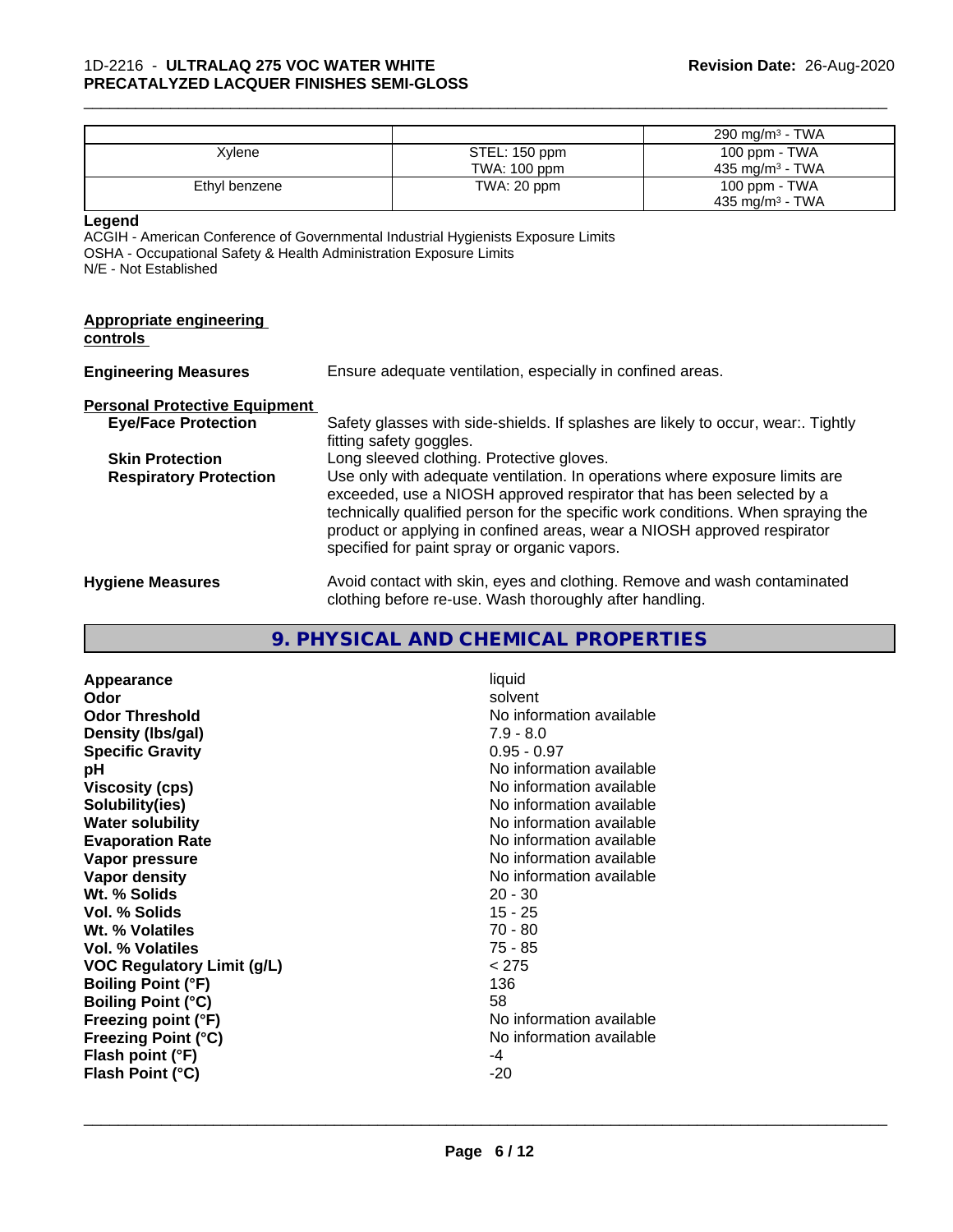#### \_\_\_\_\_\_\_\_\_\_\_\_\_\_\_\_\_\_\_\_\_\_\_\_\_\_\_\_\_\_\_\_\_\_\_\_\_\_\_\_\_\_\_\_\_\_\_\_\_\_\_\_\_\_\_\_\_\_\_\_\_\_\_\_\_\_\_\_\_\_\_\_\_\_\_\_\_\_\_\_\_\_\_\_\_\_\_\_\_\_\_\_\_ 1D-2216 - **ULTRALAQ 275 VOC WATER WHITE PRECATALYZED LACQUER FINISHES SEMI-GLOSS**

|                                                                                                       |                                                                                                                                                                                                                                                                                                                                                                     | 290 mg/m <sup>3</sup> - TWA                                                     |  |
|-------------------------------------------------------------------------------------------------------|---------------------------------------------------------------------------------------------------------------------------------------------------------------------------------------------------------------------------------------------------------------------------------------------------------------------------------------------------------------------|---------------------------------------------------------------------------------|--|
| Xylene                                                                                                | STEL: 150 ppm                                                                                                                                                                                                                                                                                                                                                       | 100 ppm - TWA                                                                   |  |
|                                                                                                       | TWA: 100 ppm                                                                                                                                                                                                                                                                                                                                                        | 435 mg/m $3$ - TWA                                                              |  |
| Ethyl benzene                                                                                         | TWA: 20 ppm                                                                                                                                                                                                                                                                                                                                                         | 100 ppm - TWA                                                                   |  |
|                                                                                                       |                                                                                                                                                                                                                                                                                                                                                                     | 435 mg/m $3$ - TWA                                                              |  |
| Legend<br>OSHA - Occupational Safety & Health Administration Exposure Limits<br>N/E - Not Established | ACGIH - American Conference of Governmental Industrial Hygienists Exposure Limits                                                                                                                                                                                                                                                                                   |                                                                                 |  |
| <b>Appropriate engineering</b><br>controls                                                            |                                                                                                                                                                                                                                                                                                                                                                     |                                                                                 |  |
| <b>Engineering Measures</b>                                                                           | Ensure adequate ventilation, especially in confined areas.                                                                                                                                                                                                                                                                                                          |                                                                                 |  |
| <b>Personal Protective Equipment</b>                                                                  |                                                                                                                                                                                                                                                                                                                                                                     |                                                                                 |  |
| <b>Eye/Face Protection</b>                                                                            |                                                                                                                                                                                                                                                                                                                                                                     | Safety glasses with side-shields. If splashes are likely to occur, wear Tightly |  |
|                                                                                                       | fitting safety goggles.                                                                                                                                                                                                                                                                                                                                             |                                                                                 |  |
| <b>Skin Protection</b>                                                                                | Long sleeved clothing. Protective gloves.                                                                                                                                                                                                                                                                                                                           |                                                                                 |  |
| <b>Respiratory Protection</b>                                                                         | Use only with adequate ventilation. In operations where exposure limits are<br>exceeded, use a NIOSH approved respirator that has been selected by a<br>technically qualified person for the specific work conditions. When spraying the<br>product or applying in confined areas, wear a NIOSH approved respirator<br>specified for paint spray or organic vapors. |                                                                                 |  |
| <b>Hygiene Measures</b>                                                                               | Avoid contact with skin, eyes and clothing. Remove and wash contaminated<br>clothing before re-use. Wash thoroughly after handling.                                                                                                                                                                                                                                 |                                                                                 |  |

## **9. PHYSICAL AND CHEMICAL PROPERTIES**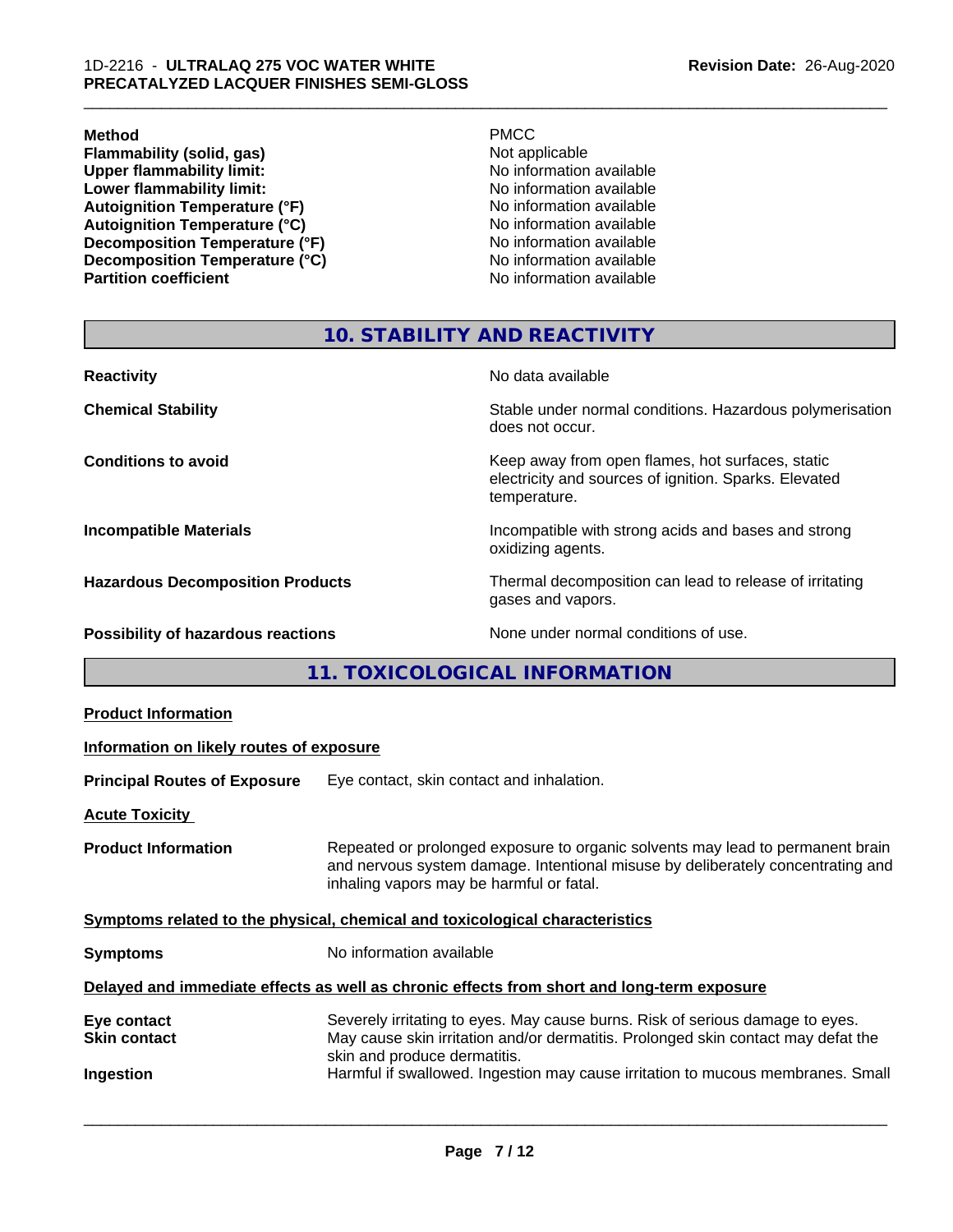#### **Method** PMCC

**Flammability (solid, gas)**<br> **Commability limit:**<br>
Upper flammability limit:<br>
No information available **Upper flammability limit:**<br> **Lower flammability limit:**<br>
No information available<br>
No information available **Lower flammability limit:**<br> **Autoignition Temperature (°F)**<br>
No information available<br>
No information available Autoignition Temperature (°F)<br>
Autoignition Temperature (°C)<br>
No information available **Autoignition Temperature (°C) Decomposition Temperature (°F)**<br> **Decomposition Temperature (°C)** No information available<br>
No information available **Decomposition Temperature (°C)**<br>Partition coefficient

**No information available** 

\_\_\_\_\_\_\_\_\_\_\_\_\_\_\_\_\_\_\_\_\_\_\_\_\_\_\_\_\_\_\_\_\_\_\_\_\_\_\_\_\_\_\_\_\_\_\_\_\_\_\_\_\_\_\_\_\_\_\_\_\_\_\_\_\_\_\_\_\_\_\_\_\_\_\_\_\_\_\_\_\_\_\_\_\_\_\_\_\_\_\_\_\_

#### **10. STABILITY AND REACTIVITY**

| <b>Reactivity</b>                       | No data available                                                                                                         |
|-----------------------------------------|---------------------------------------------------------------------------------------------------------------------------|
| <b>Chemical Stability</b>               | Stable under normal conditions. Hazardous polymerisation<br>does not occur.                                               |
| <b>Conditions to avoid</b>              | Keep away from open flames, hot surfaces, static<br>electricity and sources of ignition. Sparks. Elevated<br>temperature. |
| <b>Incompatible Materials</b>           | Incompatible with strong acids and bases and strong<br>oxidizing agents.                                                  |
| <b>Hazardous Decomposition Products</b> | Thermal decomposition can lead to release of irritating<br>gases and vapors.                                              |
| Possibility of hazardous reactions      | None under normal conditions of use.                                                                                      |

**11. TOXICOLOGICAL INFORMATION**

| <b>Product Information</b>                                                                 |                                                                                                                                                                                                               |  |  |
|--------------------------------------------------------------------------------------------|---------------------------------------------------------------------------------------------------------------------------------------------------------------------------------------------------------------|--|--|
| Information on likely routes of exposure                                                   |                                                                                                                                                                                                               |  |  |
| <b>Principal Routes of Exposure</b>                                                        | Eye contact, skin contact and inhalation.                                                                                                                                                                     |  |  |
| <b>Acute Toxicity</b>                                                                      |                                                                                                                                                                                                               |  |  |
| <b>Product Information</b>                                                                 | Repeated or prolonged exposure to organic solvents may lead to permanent brain<br>and nervous system damage. Intentional misuse by deliberately concentrating and<br>inhaling vapors may be harmful or fatal. |  |  |
| Symptoms related to the physical, chemical and toxicological characteristics               |                                                                                                                                                                                                               |  |  |
| <b>Symptoms</b>                                                                            | No information available                                                                                                                                                                                      |  |  |
| Delayed and immediate effects as well as chronic effects from short and long-term exposure |                                                                                                                                                                                                               |  |  |
| Eye contact<br><b>Skin contact</b>                                                         | Severely irritating to eyes. May cause burns. Risk of serious damage to eyes.<br>May cause skin irritation and/or dermatitis. Prolonged skin contact may defat the<br>skin and produce dermatitis.            |  |  |
| Ingestion                                                                                  | Harmful if swallowed. Ingestion may cause irritation to mucous membranes. Small                                                                                                                               |  |  |
|                                                                                            |                                                                                                                                                                                                               |  |  |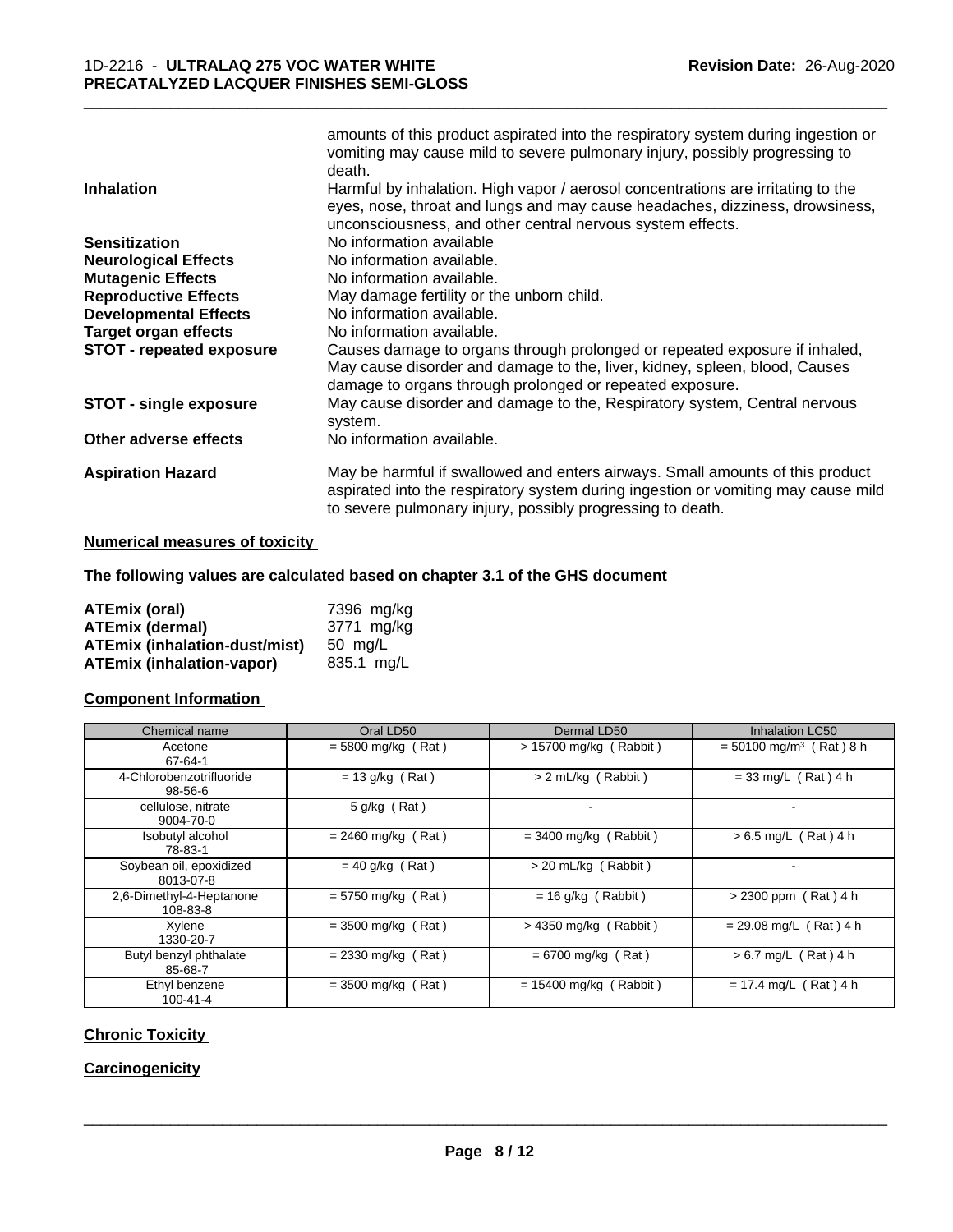|                                 | amounts of this product aspirated into the respiratory system during ingestion or<br>vomiting may cause mild to severe pulmonary injury, possibly progressing to<br>death.                                                       |
|---------------------------------|----------------------------------------------------------------------------------------------------------------------------------------------------------------------------------------------------------------------------------|
| <b>Inhalation</b>               | Harmful by inhalation. High vapor / aerosol concentrations are irritating to the<br>eyes, nose, throat and lungs and may cause headaches, dizziness, drowsiness,<br>unconsciousness, and other central nervous system effects.   |
| <b>Sensitization</b>            | No information available                                                                                                                                                                                                         |
| <b>Neurological Effects</b>     | No information available.                                                                                                                                                                                                        |
| <b>Mutagenic Effects</b>        | No information available.                                                                                                                                                                                                        |
| <b>Reproductive Effects</b>     | May damage fertility or the unborn child.                                                                                                                                                                                        |
| <b>Developmental Effects</b>    | No information available.                                                                                                                                                                                                        |
| <b>Target organ effects</b>     | No information available.                                                                                                                                                                                                        |
| <b>STOT - repeated exposure</b> | Causes damage to organs through prolonged or repeated exposure if inhaled,<br>May cause disorder and damage to the, liver, kidney, spleen, blood, Causes<br>damage to organs through prolonged or repeated exposure.             |
| <b>STOT - single exposure</b>   | May cause disorder and damage to the, Respiratory system, Central nervous<br>system.                                                                                                                                             |
| Other adverse effects           | No information available.                                                                                                                                                                                                        |
| <b>Aspiration Hazard</b>        | May be harmful if swallowed and enters airways. Small amounts of this product<br>aspirated into the respiratory system during ingestion or vomiting may cause mild<br>to severe pulmonary injury, possibly progressing to death. |

#### **Numerical measures of toxicity**

#### **The following values are calculated based on chapter 3.1 of the GHS document**

| <b>ATEmix (oral)</b>                 | 7396 mg/kg |
|--------------------------------------|------------|
| <b>ATEmix (dermal)</b>               | 3771 mg/kg |
| <b>ATEmix (inhalation-dust/mist)</b> | 50 ma/L    |
| <b>ATEmix (inhalation-vapor)</b>     | 835.1 mg/L |

#### **Component Information**

| Chemical name                        | Oral LD50            | Dermal LD50              | <b>Inhalation LC50</b>                |
|--------------------------------------|----------------------|--------------------------|---------------------------------------|
| Acetone<br>67-64-1                   | $= 5800$ mg/kg (Rat) | $> 15700$ mg/kg (Rabbit) | $=$ 50100 mg/m <sup>3</sup> (Rat) 8 h |
| 4-Chlorobenzotrifluoride<br>98-56-6  | $= 13$ g/kg (Rat)    | > 2 mL/kg (Rabbit)       | $= 33$ mg/L (Rat) 4 h                 |
| cellulose, nitrate<br>9004-70-0      | $5$ g/kg (Rat)       | $\blacksquare$           |                                       |
| Isobutyl alcohol<br>78-83-1          | $= 2460$ mg/kg (Rat) | $=$ 3400 mg/kg (Rabbit)  | $> 6.5$ mg/L (Rat) 4 h                |
| Soybean oil, epoxidized<br>8013-07-8 | $= 40$ g/kg (Rat)    | > 20 mL/kg (Rabbit)      |                                       |
| 2.6-Dimethyl-4-Heptanone<br>108-83-8 | $= 5750$ mg/kg (Rat) | $= 16$ g/kg (Rabbit)     | $> 2300$ ppm (Rat) 4 h                |
| Xylene<br>1330-20-7                  | $=$ 3500 mg/kg (Rat) | $>$ 4350 mg/kg (Rabbit)  | $= 29.08$ mg/L (Rat) 4 h              |
| Butyl benzyl phthalate<br>85-68-7    | $= 2330$ mg/kg (Rat) | $= 6700$ mg/kg (Rat)     | $> 6.7$ mg/L (Rat) 4 h                |
| Ethyl benzene<br>$100 - 41 - 4$      | $=$ 3500 mg/kg (Rat) | $= 15400$ mg/kg (Rabbit) | $= 17.4$ mg/L (Rat) 4 h               |

#### **Chronic Toxicity**

#### **Carcinogenicity**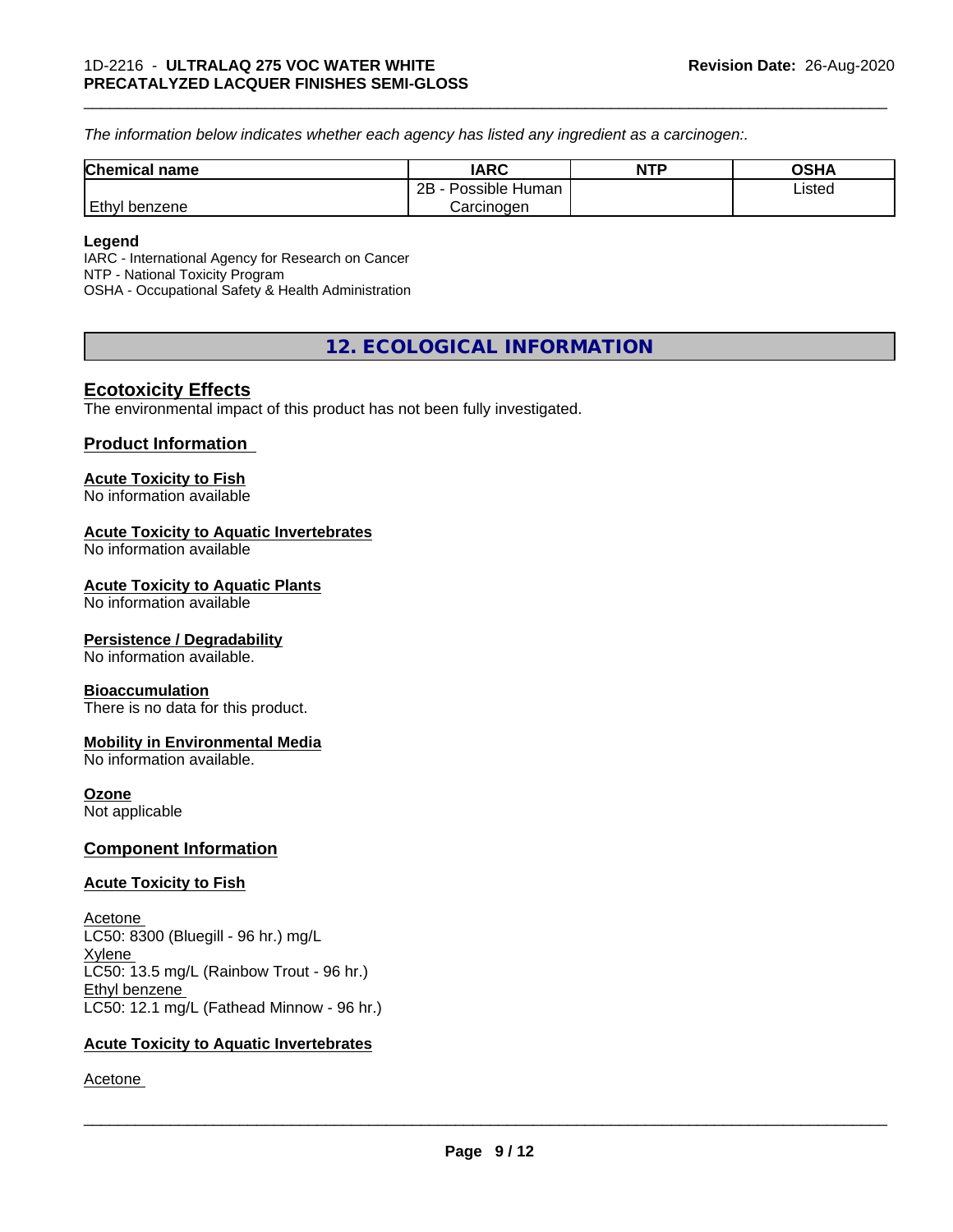*The information below indicateswhether each agency has listed any ingredient as a carcinogen:.*

| <b>Chemical name</b> | <b>IARC</b>               | <b>NTP</b> | OSHA   |
|----------------------|---------------------------|------------|--------|
|                      | .<br>2B<br>Possible Human |            | Listed |
| Ethyl<br>I benzene   | Carcinogen                |            |        |

#### **Legend**

IARC - International Agency for Research on Cancer NTP - National Toxicity Program OSHA - Occupational Safety & Health Administration

### **12. ECOLOGICAL INFORMATION**

#### **Ecotoxicity Effects**

The environmental impact of this product has not been fully investigated.

#### **Product Information**

#### **Acute Toxicity to Fish**

No information available

#### **Acute Toxicity to Aquatic Invertebrates**

No information available

#### **Acute Toxicity to Aquatic Plants**

No information available

#### **Persistence / Degradability**

No information available.

#### **Bioaccumulation**

There is no data for this product.

#### **Mobility in Environmental Media**

No information available.

#### **Ozone**

Not applicable

#### **Component Information**

#### **Acute Toxicity to Fish**

Acetone LC50: 8300 (Bluegill - 96 hr.) mg/L Xylene LC50: 13.5 mg/L (Rainbow Trout - 96 hr.) Ethyl benzene LC50: 12.1 mg/L (Fathead Minnow - 96 hr.)

#### **Acute Toxicity to Aquatic Invertebrates**

Acetone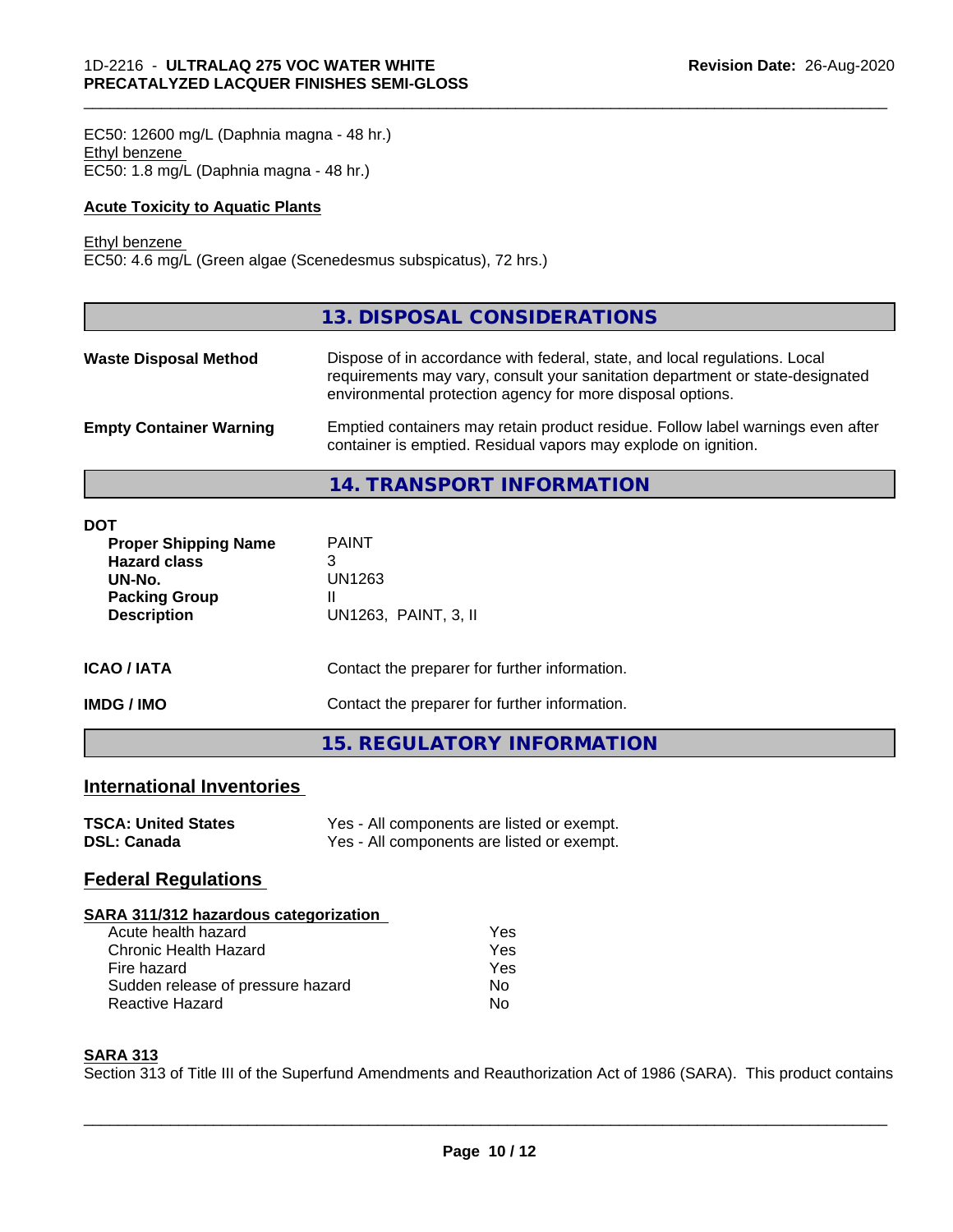EC50: 12600 mg/L (Daphnia magna - 48 hr.) Ethyl benzene EC50: 1.8 mg/L (Daphnia magna - 48 hr.)

#### **Acute Toxicity to Aquatic Plants**

#### Ethyl benzene

Г

EC50: 4.6 mg/L (Green algae (Scenedesmus subspicatus), 72 hrs.)

|                                | 13. DISPOSAL CONSIDERATIONS                                                                                                                                                                                               |
|--------------------------------|---------------------------------------------------------------------------------------------------------------------------------------------------------------------------------------------------------------------------|
| <b>Waste Disposal Method</b>   | Dispose of in accordance with federal, state, and local regulations. Local<br>requirements may vary, consult your sanitation department or state-designated<br>environmental protection agency for more disposal options. |
| <b>Empty Container Warning</b> | Emptied containers may retain product residue. Follow label warnings even after<br>container is emptied. Residual vapors may explode on ignition.                                                                         |

\_\_\_\_\_\_\_\_\_\_\_\_\_\_\_\_\_\_\_\_\_\_\_\_\_\_\_\_\_\_\_\_\_\_\_\_\_\_\_\_\_\_\_\_\_\_\_\_\_\_\_\_\_\_\_\_\_\_\_\_\_\_\_\_\_\_\_\_\_\_\_\_\_\_\_\_\_\_\_\_\_\_\_\_\_\_\_\_\_\_\_\_\_

**14. TRANSPORT INFORMATION**

| <b>DOT</b><br><b>Proper Shipping Name</b><br><b>Hazard class</b><br>UN-No.<br><b>Packing Group</b><br><b>Description</b> | <b>PAINT</b><br>3<br>UN1263<br>UN1263, PAINT, 3, II |
|--------------------------------------------------------------------------------------------------------------------------|-----------------------------------------------------|
| <b>ICAO/IATA</b>                                                                                                         | Contact the preparer for further information.       |
| <b>IMDG/IMO</b>                                                                                                          | Contact the preparer for further information.       |
|                                                                                                                          | 15. REGULATORY INFORMATION                          |

#### **International Inventories**

| <b>TSCA: United States</b> | Yes - All components are listed or exempt. |
|----------------------------|--------------------------------------------|
| <b>DSL: Canada</b>         | Yes - All components are listed or exempt. |

### **Federal Regulations**

| SARA 311/312 hazardous categorization |     |  |
|---------------------------------------|-----|--|
| Acute health hazard                   | Yes |  |
| Chronic Health Hazard                 | Yes |  |
| Fire hazard                           | Yes |  |
| Sudden release of pressure hazard     | No. |  |
| <b>Reactive Hazard</b>                | No  |  |

#### **SARA 313**

Section 313 of Title III of the Superfund Amendments and Reauthorization Act of 1986 (SARA). This product contains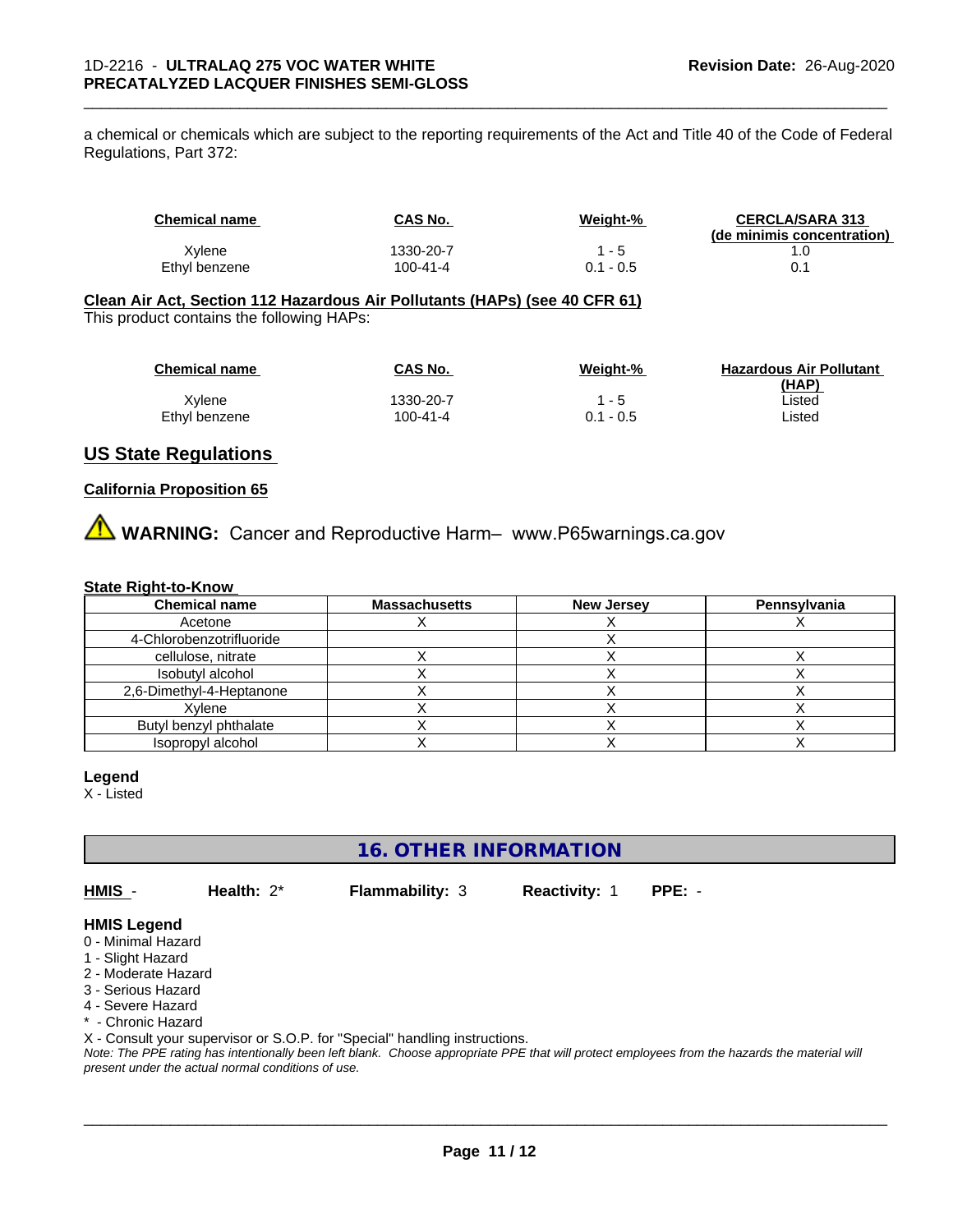a chemical or chemicals which are subject to the reporting requirements of the Act and Title 40 of the Code of Federal Regulations, Part 372:

| Chemical name | CAS No.   | Weight-%    | <b>CERCLA/SARA 313</b><br>(de minimis concentration) |
|---------------|-----------|-------------|------------------------------------------------------|
| Xylene        | 1330-20-7 | - 5         |                                                      |
| Ethyl benzene | 100-41-4  | $0.1 - 0.5$ |                                                      |

#### **Clean Air Act,Section 112 Hazardous Air Pollutants (HAPs) (see 40 CFR 61)** This product contains the following HAPs:

| <b>Chemical name</b> | CAS No.   | Weight-%    | <b>Hazardous Air Pollutant</b> |
|----------------------|-----------|-------------|--------------------------------|
|                      |           |             | (HAP)                          |
| Xvlene               | 1330-20-7 | 1 - 5       | ∟isted                         |
| Ethyl benzene        | 100-41-4  | $0.1 - 0.5$ | ∟isted                         |

#### **US State Regulations**

#### **California Proposition 65**

**AVIMARNING:** Cancer and Reproductive Harm– www.P65warnings.ca.gov

#### **State Right-to-Know**

| <b>Chemical name</b>     | <b>Massachusetts</b> | <b>New Jersey</b> | Pennsylvania |
|--------------------------|----------------------|-------------------|--------------|
| Acetone                  |                      |                   |              |
| 4-Chlorobenzotrifluoride |                      |                   |              |
| cellulose, nitrate       |                      |                   |              |
| Isobutyl alcohol         |                      |                   |              |
| 2,6-Dimethyl-4-Heptanone |                      |                   |              |
| Xvlene                   |                      |                   |              |
| Butyl benzyl phthalate   |                      |                   |              |
| Isopropyl alcohol        |                      |                   |              |

#### **Legend**

X - Listed

**16. OTHER INFORMATION**

**HMIS** - **Health:** 2\* **Flammability:** 3 **Reactivity:** 1 **PPE:** -

 $\overline{\phantom{a}}$  ,  $\overline{\phantom{a}}$  ,  $\overline{\phantom{a}}$  ,  $\overline{\phantom{a}}$  ,  $\overline{\phantom{a}}$  ,  $\overline{\phantom{a}}$  ,  $\overline{\phantom{a}}$  ,  $\overline{\phantom{a}}$  ,  $\overline{\phantom{a}}$  ,  $\overline{\phantom{a}}$  ,  $\overline{\phantom{a}}$  ,  $\overline{\phantom{a}}$  ,  $\overline{\phantom{a}}$  ,  $\overline{\phantom{a}}$  ,  $\overline{\phantom{a}}$  ,  $\overline{\phantom{a}}$ 

#### **HMIS Legend**

- 0 Minimal Hazard
- 1 Slight Hazard
- 2 Moderate Hazard
- 3 Serious Hazard
- 4 Severe Hazard
- \* Chronic Hazard

X - Consult your supervisor or S.O.P. for "Special" handling instructions.

*Note: The PPE rating has intentionally been left blank. Choose appropriate PPE that will protect employees from the hazards the material will present under the actual normal conditions of use.*